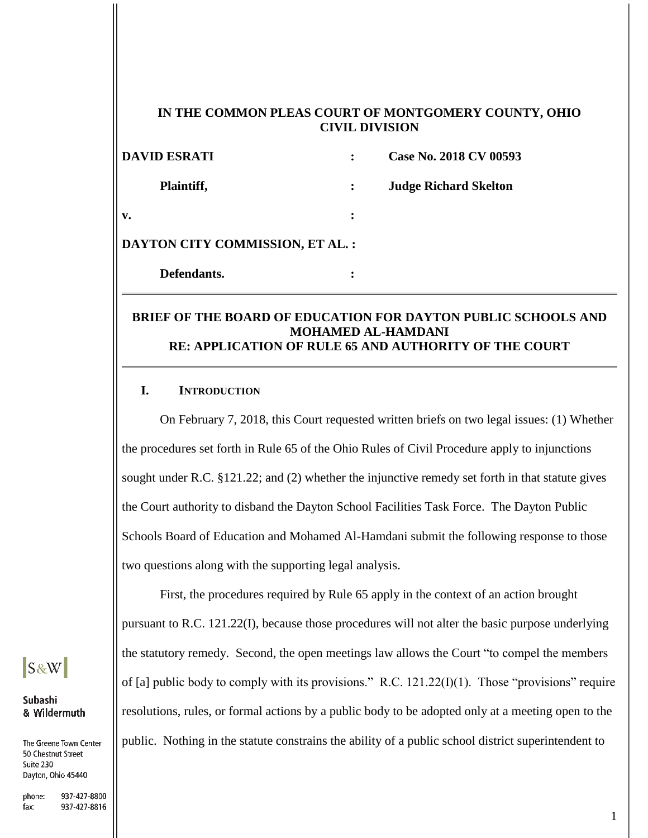| IN THE COMMON PLEAS COURT OF MONTGOMERY COUNTY, OHIO |
|------------------------------------------------------|
| <b>CIVIL DIVISION</b>                                |

| <b>DAVID ESRATI</b>             | Case No. 2018 CV 00593       |
|---------------------------------|------------------------------|
| Plaintiff,                      | <b>Judge Richard Skelton</b> |
| v.                              |                              |
| DAYTON CITY COMMISSION, ET AL.: |                              |
| Defendants.                     |                              |

# **BRIEF OF THE BOARD OF EDUCATION FOR DAYTON PUBLIC SCHOOLS AND MOHAMED AL-HAMDANI RE: APPLICATION OF RULE 65 AND AUTHORITY OF THE COURT**

## **I. INTRODUCTION**

On February 7, 2018, this Court requested written briefs on two legal issues: (1) Whether the procedures set forth in Rule 65 of the Ohio Rules of Civil Procedure apply to injunctions sought under R.C. §121.22; and (2) whether the injunctive remedy set forth in that statute gives the Court authority to disband the Dayton School Facilities Task Force. The Dayton Public Schools Board of Education and Mohamed Al-Hamdani submit the following response to those two questions along with the supporting legal analysis.

First, the procedures required by Rule 65 apply in the context of an action brought pursuant to R.C. 121.22(I), because those procedures will not alter the basic purpose underlying the statutory remedy. Second, the open meetings law allows the Court "to compel the members of [a] public body to comply with its provisions." R.C.  $121.22(I)(1)$ . Those "provisions" require resolutions, rules, or formal actions by a public body to be adopted only at a meeting open to the public. Nothing in the statute constrains the ability of a public school district superintendent to



#### Subashi & Wildermuth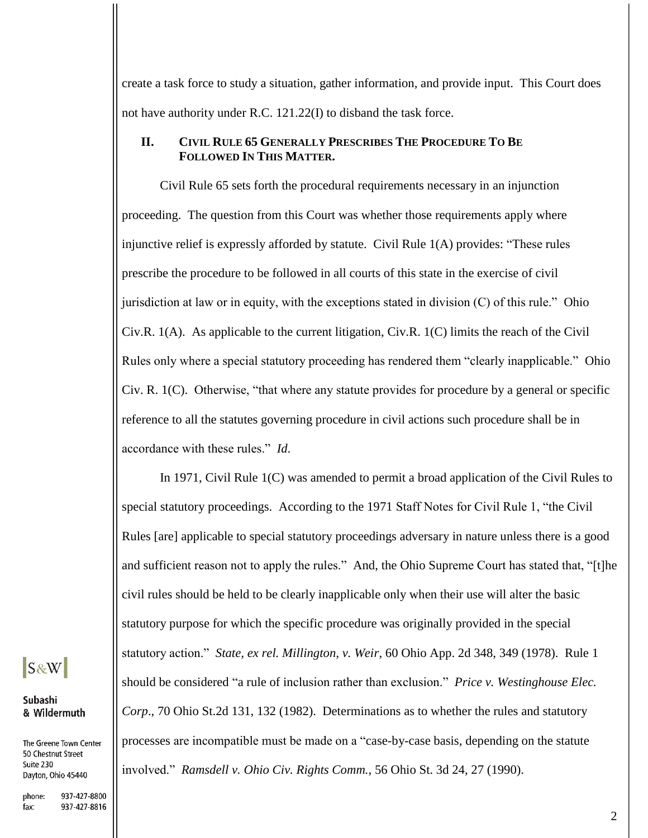create a task force to study a situation, gather information, and provide input. This Court does not have authority under R.C. 121.22(I) to disband the task force.

## **II. CIVIL RULE 65 GENERALLY PRESCRIBES THE PROCEDURE TO BE FOLLOWED IN THIS MATTER.**

Civil Rule 65 sets forth the procedural requirements necessary in an injunction proceeding. The question from this Court was whether those requirements apply where injunctive relief is expressly afforded by statute. Civil Rule 1(A) provides: "These rules prescribe the procedure to be followed in all courts of this state in the exercise of civil jurisdiction at law or in equity, with the exceptions stated in division  $(C)$  of this rule." Ohio Civ.R. 1(A). As applicable to the current litigation, Civ.R. 1(C) limits the reach of the Civil Rules only where a special statutory proceeding has rendered them "clearly inapplicable." Ohio Civ. R. 1(C). Otherwise, "that where any statute provides for procedure by a general or specific reference to all the statutes governing procedure in civil actions such procedure shall be in accordance with these rules." *Id*.

In 1971, Civil Rule 1(C) was amended to permit a broad application of the Civil Rules to special statutory proceedings. According to the 1971 Staff Notes for Civil Rule 1, "the Civil Rules [are] applicable to special statutory proceedings adversary in nature unless there is a good and sufficient reason not to apply the rules." And, the Ohio Supreme Court has stated that, "[t]he civil rules should be held to be clearly inapplicable only when their use will alter the basic statutory purpose for which the specific procedure was originally provided in the special statutory action." *State, ex rel. Millington, v. Weir*, 60 Ohio App. 2d 348, 349 (1978). Rule 1 should be considered "a rule of inclusion rather than exclusion." *Price v. Westinghouse Elec. Corp*., 70 Ohio St.2d 131, 132 (1982). Determinations as to whether the rules and statutory processes are incompatible must be made on a "case-by-case basis, depending on the statute involved." *Ramsdell v. Ohio Civ. Rights Comm.*, 56 Ohio St. 3d 24, 27 (1990).

 $s$ &W

#### Subashi & Wildermuth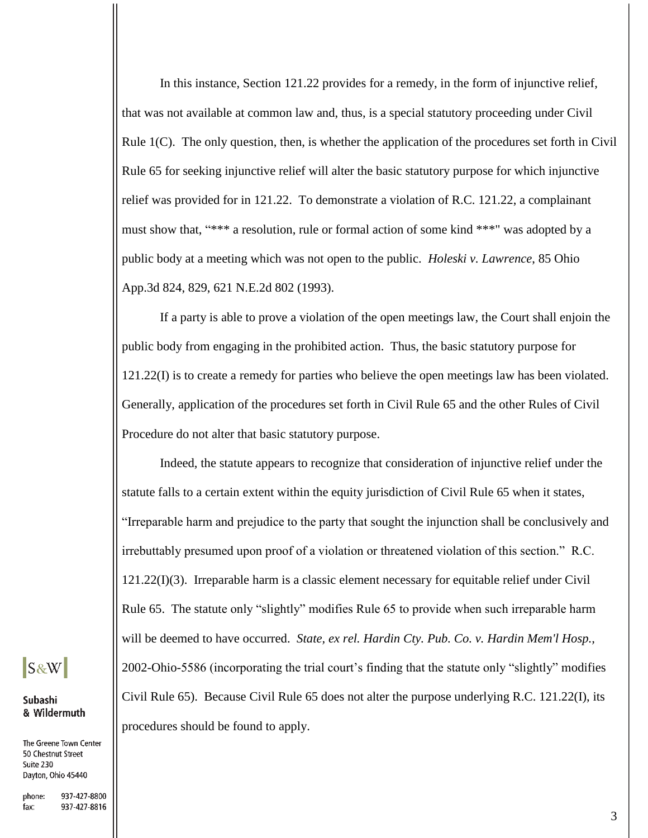In this instance, Section 121.22 provides for a remedy, in the form of injunctive relief, that was not available at common law and, thus, is a special statutory proceeding under Civil Rule 1(C). The only question, then, is whether the application of the procedures set forth in Civil Rule 65 for seeking injunctive relief will alter the basic statutory purpose for which injunctive relief was provided for in 121.22. To demonstrate a violation of R.C. 121.22, a complainant must show that, "\*\*\* a resolution, rule or formal action of some kind \*\*\*" was adopted by a public body at a meeting which was not open to the public. *Holeski v. Lawrence*, 85 Ohio App.3d 824, 829, 621 N.E.2d 802 (1993).

If a party is able to prove a violation of the open meetings law, the Court shall enjoin the public body from engaging in the prohibited action. Thus, the basic statutory purpose for 121.22(I) is to create a remedy for parties who believe the open meetings law has been violated. Generally, application of the procedures set forth in Civil Rule 65 and the other Rules of Civil Procedure do not alter that basic statutory purpose.

Indeed, the statute appears to recognize that consideration of injunctive relief under the statute falls to a certain extent within the equity jurisdiction of Civil Rule 65 when it states, "Irreparable harm and prejudice to the party that sought the injunction shall be conclusively and irrebuttably presumed upon proof of a violation or threatened violation of this section." R.C. 121.22(I)(3). Irreparable harm is a classic element necessary for equitable relief under Civil Rule 65. The statute only "slightly" modifies Rule 65 to provide when such irreparable harm will be deemed to have occurred. *State, ex rel. Hardin Cty. Pub. Co. v. Hardin Mem'l Hosp.,* 2002-Ohio-5586 (incorporating the trial court's finding that the statute only "slightly" modifies Civil Rule 65). Because Civil Rule 65 does not alter the purpose underlying R.C. 121.22(I), its procedures should be found to apply.

 $s$ &W

#### Subashi & Wildermuth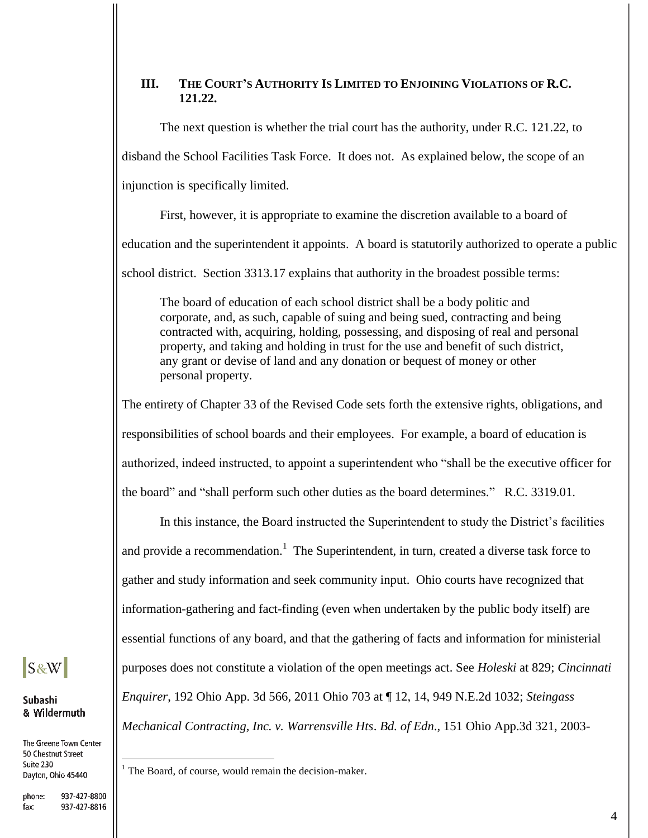## **III. THE COURT'S AUTHORITY IS LIMITED TO ENJOINING VIOLATIONS OF R.C. 121.22.**

The next question is whether the trial court has the authority, under R.C. 121.22, to disband the School Facilities Task Force. It does not. As explained below, the scope of an injunction is specifically limited.

First, however, it is appropriate to examine the discretion available to a board of

education and the superintendent it appoints. A board is statutorily authorized to operate a public

school district. Section 3313.17 explains that authority in the broadest possible terms:

The board of education of each school district shall be a body politic and corporate, and, as such, capable of suing and being sued, contracting and being contracted with, acquiring, holding, possessing, and disposing of real and personal property, and taking and holding in trust for the use and benefit of such district, any grant or devise of land and any donation or bequest of money or other personal property.

The entirety of Chapter 33 of the Revised Code sets forth the extensive rights, obligations, and responsibilities of school boards and their employees. For example, a board of education is authorized, indeed instructed, to appoint a superintendent who "shall be the executive officer for the board" and "shall perform such other duties as the board determines." R.C. 3319.01.

In this instance, the Board instructed the Superintendent to study the District's facilities and provide a recommendation.<sup>1</sup> The Superintendent, in turn, created a diverse task force to gather and study information and seek community input. Ohio courts have recognized that information-gathering and fact-finding (even when undertaken by the public body itself) are essential functions of any board, and that the gathering of facts and information for ministerial purposes does not constitute a violation of the open meetings act. See *Holeski* at 829; *Cincinnati Enquirer*, 192 Ohio App. 3d 566, 2011 Ohio 703 at ¶ 12, 14, 949 N.E.2d 1032; *Steingass Mechanical Contracting, Inc. v. Warrensville Hts*. *Bd. of Edn*., 151 Ohio App.3d 321, 2003-

The Greene Town Center 50 Chestnut Street Suite 230 Dayton, Ohio 45440

 $|\text{S}$ &W

Subashi & Wildermuth

 $\overline{a}$  $1$  The Board, of course, would remain the decision-maker.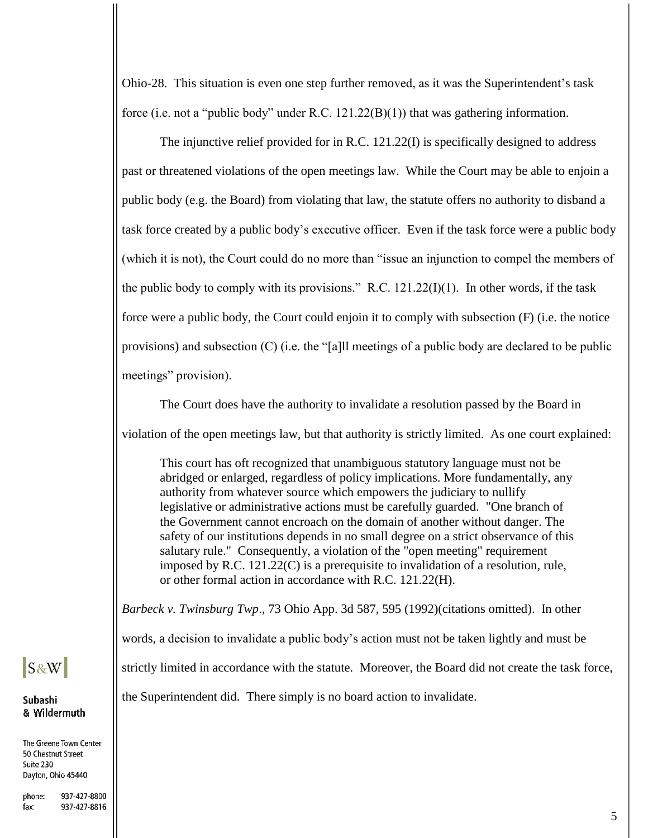Ohio-28. This situation is even one step further removed, as it was the Superintendent's task force (i.e. not a "public body" under R.C. 121.22(B)(1)) that was gathering information.

The injunctive relief provided for in R.C. 121.22(I) is specifically designed to address past or threatened violations of the open meetings law. While the Court may be able to enjoin a public body (e.g. the Board) from violating that law, the statute offers no authority to disband a task force created by a public body's executive officer. Even if the task force were a public body (which it is not), the Court could do no more than "issue an injunction to compel the members of the public body to comply with its provisions." R.C.  $121.22(I)(1)$ . In other words, if the task force were a public body, the Court could enjoin it to comply with subsection (F) (i.e. the notice provisions) and subsection (C) (i.e. the "[a]ll meetings of a public body are declared to be public meetings" provision).

The Court does have the authority to invalidate a resolution passed by the Board in

violation of the open meetings law, but that authority is strictly limited. As one court explained:

This court has oft recognized that unambiguous statutory language must not be abridged or enlarged, regardless of policy implications. More fundamentally, any authority from whatever source which empowers the judiciary to nullify legislative or administrative actions must be carefully guarded. "One branch of the Government cannot encroach on the domain of another without danger. The safety of our institutions depends in no small degree on a strict observance of this salutary rule." Consequently, a violation of the "open meeting" requirement imposed by R.C. 121.22(C) is a prerequisite to invalidation of a resolution, rule, or other formal action in accordance with R.C. 121.22(H).

*Barbeck v. Twinsburg Twp*., 73 Ohio App. 3d 587, 595 (1992)(citations omitted). In other

words, a decision to invalidate a public body's action must not be taken lightly and must be

strictly limited in accordance with the statute. Moreover, the Board did not create the task force,

the Superintendent did. There simply is no board action to invalidate.

# $s$ <sub>&W</sub>

#### Subashi & Wildermuth